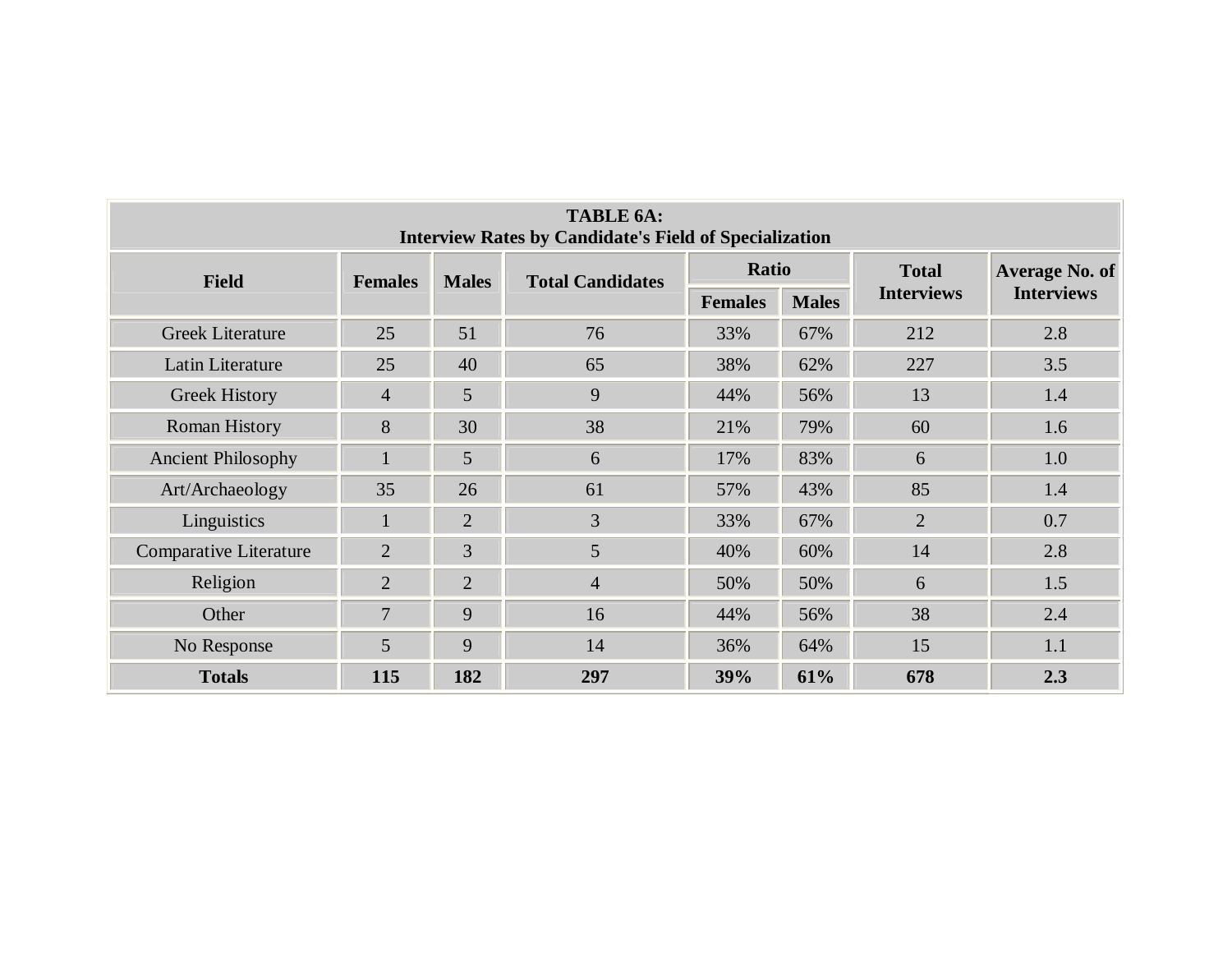| <b>TABLE 6A:</b><br><b>Interview Rates by Candidate's Field of Specialization</b> |                |                |                         |                |              |                   |                       |  |  |  |  |  |
|-----------------------------------------------------------------------------------|----------------|----------------|-------------------------|----------------|--------------|-------------------|-----------------------|--|--|--|--|--|
| <b>Field</b>                                                                      | <b>Females</b> | <b>Males</b>   | <b>Total Candidates</b> | Ratio          |              | <b>Total</b>      | <b>Average No. of</b> |  |  |  |  |  |
|                                                                                   |                |                |                         | <b>Females</b> | <b>Males</b> | <b>Interviews</b> | <b>Interviews</b>     |  |  |  |  |  |
| <b>Greek Literature</b>                                                           | 25             | 51             | 76                      | 33%            | 67%          | 212               | 2.8                   |  |  |  |  |  |
| Latin Literature                                                                  | 25             | 40             | 65                      | 38%            | 62%          | 227               | 3.5                   |  |  |  |  |  |
| <b>Greek History</b>                                                              | $\overline{4}$ | 5              | 9                       | 44%            | 56%          | 13                | 1.4                   |  |  |  |  |  |
| <b>Roman History</b>                                                              | 8              | 30             | 38                      | 21%            | 79%          | 60                | 1.6                   |  |  |  |  |  |
| <b>Ancient Philosophy</b>                                                         |                | 5              | 6                       | 17%            | 83%          | 6                 | 1.0                   |  |  |  |  |  |
| Art/Archaeology                                                                   | 35             | 26             | 61                      | 57%            | 43%          | 85                | 1.4                   |  |  |  |  |  |
| Linguistics                                                                       | $\mathbf{1}$   | $\overline{2}$ | $\overline{3}$          | 33%            | 67%          | $\overline{2}$    | 0.7                   |  |  |  |  |  |
| <b>Comparative Literature</b>                                                     | $\overline{2}$ | 3              | $\overline{5}$          | 40%            | 60%          | 14                | 2.8                   |  |  |  |  |  |
| Religion                                                                          | $\overline{2}$ | $\overline{2}$ | $\overline{4}$          | 50%            | 50%          | 6                 | 1.5                   |  |  |  |  |  |
| Other                                                                             | $\overline{7}$ | 9              | 16                      | 44%            | 56%          | 38                | 2.4                   |  |  |  |  |  |
| No Response                                                                       | 5              | 9              | 14                      | 36%            | 64%          | 15                | 1.1                   |  |  |  |  |  |
| <b>Totals</b>                                                                     | 115            | 182            | 297                     | 39%            | 61%          | 678               | 2.3                   |  |  |  |  |  |